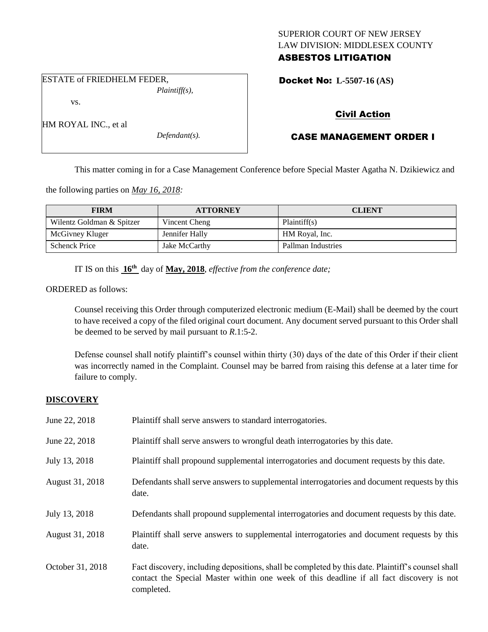## SUPERIOR COURT OF NEW JERSEY LAW DIVISION: MIDDLESEX COUNTY ASBESTOS LITIGATION

ESTATE of FRIEDHELM FEDER, *Plaintiff(s),*

vs.

HM ROYAL INC., et al

*Defendant(s).*

Docket No: **L-5507-16 (AS)** 

# Civil Action

# CASE MANAGEMENT ORDER I

This matter coming in for a Case Management Conference before Special Master Agatha N. Dzikiewicz and

the following parties on *May 16, 2018:*

| <b>FIRM</b>               | <b>ATTORNEY</b> | <b>CLIENT</b>      |
|---------------------------|-----------------|--------------------|
| Wilentz Goldman & Spitzer | Vincent Cheng   | Plaintiff(s)       |
| McGivney Kluger           | Jennifer Hally  | HM Royal, Inc.     |
| <b>Schenck Price</b>      | Jake McCarthy   | Pallman Industries |

IT IS on this **16th** day of **May, 2018**, *effective from the conference date;*

ORDERED as follows:

Counsel receiving this Order through computerized electronic medium (E-Mail) shall be deemed by the court to have received a copy of the filed original court document. Any document served pursuant to this Order shall be deemed to be served by mail pursuant to *R*.1:5-2.

Defense counsel shall notify plaintiff's counsel within thirty (30) days of the date of this Order if their client was incorrectly named in the Complaint. Counsel may be barred from raising this defense at a later time for failure to comply.

## **DISCOVERY**

| June 22, 2018    | Plaintiff shall serve answers to standard interrogatories.                                            |
|------------------|-------------------------------------------------------------------------------------------------------|
| June 22, 2018    | Plaintiff shall serve answers to wrongful death interrogatories by this date.                         |
| July 13, 2018    | Plaintiff shall propound supplemental interrogatories and document requests by this date.             |
| August 31, 2018  | Defendants shall serve answers to supplemental interrogatories and document requests by this<br>date. |
| July 13, 2018    | Defendants shall propound supplemental interrogatories and document requests by this date.            |
| August 31, 2018  | Plaintiff shall serve answers to supplemental interrogatories and document requests by this<br>date.  |
| October 31, 2018 | Fact discovery, including depositions, shall be completed by this date. Plaintiff's counsel shall     |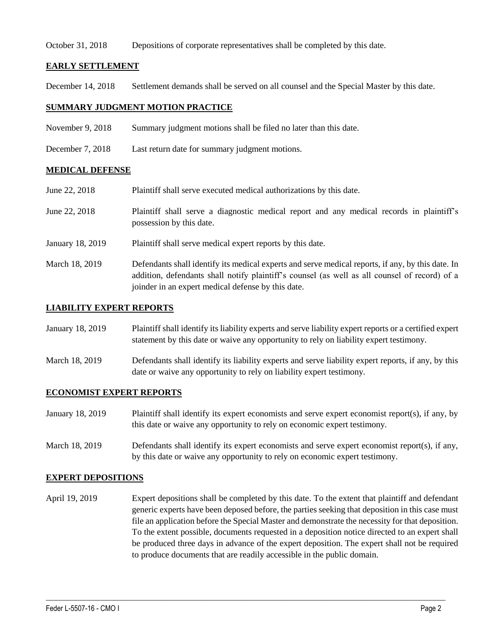## October 31, 2018 Depositions of corporate representatives shall be completed by this date.

## **EARLY SETTLEMENT**

December 14, 2018 Settlement demands shall be served on all counsel and the Special Master by this date.

## **SUMMARY JUDGMENT MOTION PRACTICE**

- November 9, 2018 Summary judgment motions shall be filed no later than this date.
- December 7, 2018 Last return date for summary judgment motions.

## **MEDICAL DEFENSE**

June 22, 2018 Plaintiff shall serve executed medical authorizations by this date. June 22, 2018 Plaintiff shall serve a diagnostic medical report and any medical records in plaintiff's possession by this date. January 18, 2019 Plaintiff shall serve medical expert reports by this date. March 18, 2019 Defendants shall identify its medical experts and serve medical reports, if any, by this date. In addition, defendants shall notify plaintiff's counsel (as well as all counsel of record) of a

joinder in an expert medical defense by this date.

## **LIABILITY EXPERT REPORTS**

| January 18, 2019 | Plaintiff shall identify its liability experts and serve liability expert reports or a certified expert |
|------------------|---------------------------------------------------------------------------------------------------------|
|                  | statement by this date or waive any opportunity to rely on liability expert testimony.                  |

March 18, 2019 Defendants shall identify its liability experts and serve liability expert reports, if any, by this date or waive any opportunity to rely on liability expert testimony.

## **ECONOMIST EXPERT REPORTS**

- January 18, 2019 Plaintiff shall identify its expert economists and serve expert economist report(s), if any, by this date or waive any opportunity to rely on economic expert testimony.
- March 18, 2019 Defendants shall identify its expert economists and serve expert economist report(s), if any, by this date or waive any opportunity to rely on economic expert testimony.

## **EXPERT DEPOSITIONS**

April 19, 2019 Expert depositions shall be completed by this date. To the extent that plaintiff and defendant generic experts have been deposed before, the parties seeking that deposition in this case must file an application before the Special Master and demonstrate the necessity for that deposition. To the extent possible, documents requested in a deposition notice directed to an expert shall be produced three days in advance of the expert deposition. The expert shall not be required to produce documents that are readily accessible in the public domain.

 $\_$  ,  $\_$  ,  $\_$  ,  $\_$  ,  $\_$  ,  $\_$  ,  $\_$  ,  $\_$  ,  $\_$  ,  $\_$  ,  $\_$  ,  $\_$  ,  $\_$  ,  $\_$  ,  $\_$  ,  $\_$  ,  $\_$  ,  $\_$  ,  $\_$  ,  $\_$  ,  $\_$  ,  $\_$  ,  $\_$  ,  $\_$  ,  $\_$  ,  $\_$  ,  $\_$  ,  $\_$  ,  $\_$  ,  $\_$  ,  $\_$  ,  $\_$  ,  $\_$  ,  $\_$  ,  $\_$  ,  $\_$  ,  $\_$  ,